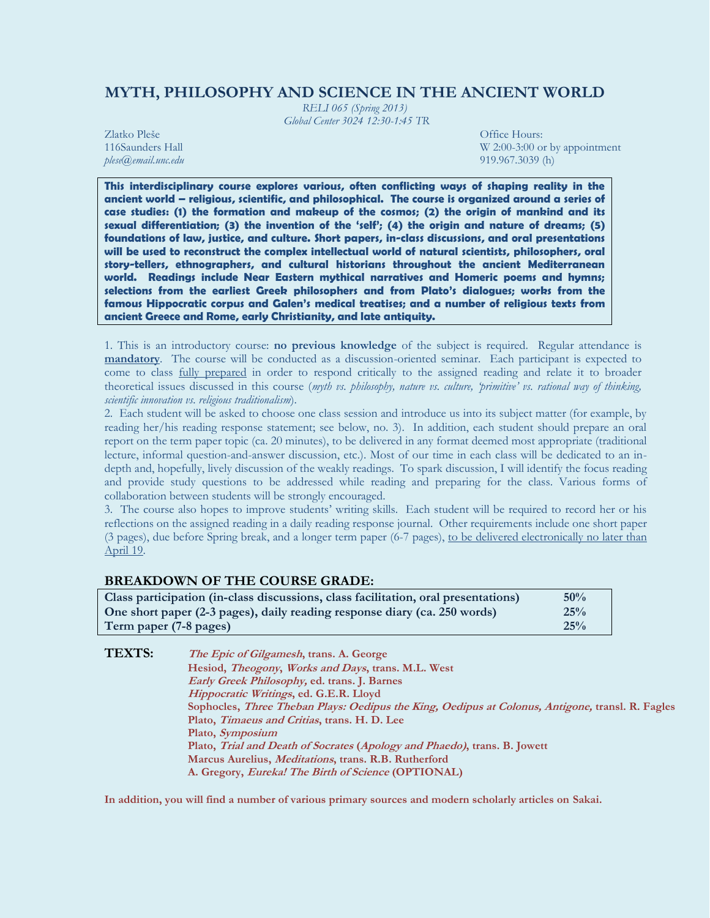# **MYTH, PHILOSOPHY AND SCIENCE IN THE ANCIENT WORLD**

*RELI 065 (Spring 2013) Global Center 3024 12:30-1:45 TR*

Zlatko Pleše Office Hours: *plese@email.unc.edu* 919.967.3039 (h)

116Saunders Hall W 2:00-3:00 or by appointment blese and the main wave website and wave website was a structured with the set of the main version of the set of the main version of the main version of the main version of th

**This interdisciplinary course explores various, often conflicting ways of shaping reality in the ancient world – religious, scientific, and philosophical. The course is organized around a series of case studies: (1) the formation and makeup of the cosmos; (2) the origin of mankind and its sexual differentiation; (3) the invention of the 'self'; (4) the origin and nature of dreams; (5) foundations of law, justice, and culture. Short papers, in-class discussions, and oral presentations will be used to reconstruct the complex intellectual world of natural scientists, philosophers, oral story-tellers, ethnographers, and cultural historians throughout the ancient Mediterranean world. Readings include Near Eastern mythical narratives and Homeric poems and hymns; selections from the earliest Greek philosophers and from Plato's dialogues; works from the famous Hippocratic corpus and Galen's medical treatises; and a number of religious texts from ancient Greece and Rome, early Christianity, and late antiquity.**

1. This is an introductory course: **no previous knowledge** of the subject is required. Regular attendance is **mandatory**. The course will be conducted as a discussion-oriented seminar. Each participant is expected to come to class fully prepared in order to respond critically to the assigned reading and relate it to broader theoretical issues discussed in this course (*myth vs. philosophy, nature vs. culture, 'primitive' vs. rational way of thinking, scientific innovation vs. religious traditionalism*).

2. Each student will be asked to choose one class session and introduce us into its subject matter (for example, by reading her/his reading response statement; see below, no. 3). In addition, each student should prepare an oral report on the term paper topic (ca. 20 minutes), to be delivered in any format deemed most appropriate (traditional lecture, informal question-and-answer discussion, etc.). Most of our time in each class will be dedicated to an indepth and, hopefully, lively discussion of the weakly readings. To spark discussion, I will identify the focus reading and provide study questions to be addressed while reading and preparing for the class. Various forms of collaboration between students will be strongly encouraged.

3. The course also hopes to improve students' writing skills. Each student will be required to record her or his reflections on the assigned reading in a daily reading response journal. Other requirements include one short paper (3 pages), due before Spring break, and a longer term paper (6-7 pages), to be delivered electronically no later than April 19.

# **BREAKDOWN OF THE COURSE GRADE:**

| Class participation (in-class discussions, class facilitation, oral presentations) | 50% |
|------------------------------------------------------------------------------------|-----|
| One short paper (2-3 pages), daily reading response diary (ca. 250 words)          | 25% |
| Term paper (7-8 pages)                                                             | 25% |

| <b>TEXTS:</b> | <i>The Epic of Gilgamesh</i> , trans. A. George                                                  |
|---------------|--------------------------------------------------------------------------------------------------|
|               | Hesiod, <i>Theogony</i> , <i>Works and Days</i> , trans. M.L. West                               |
|               | Early Greek Philosophy, ed. trans. J. Barnes                                                     |
|               | <i>Hippocratic Writings, ed. G.E.R. Lloyd</i>                                                    |
|               | Sophocles, Three Theban Plays: Oedipus the King, Oedipus at Colonus, Antigone, transl. R. Fagles |
|               | Plato, <i>Timaeus and Critias</i> , trans. H. D. Lee                                             |
|               | Plato, <i>Symposium</i>                                                                          |
|               | Plato, Trial and Death of Socrates (Apology and Phaedo), trans. B. Jowett                        |
|               | Marcus Aurelius, <i>Meditations</i> , trans. R.B. Rutherford                                     |
|               | A. Gregory, <i>Eureka! The Birth of Science</i> (OPTIONAL)                                       |

**In addition, you will find a number of various primary sources and modern scholarly articles on Sakai.**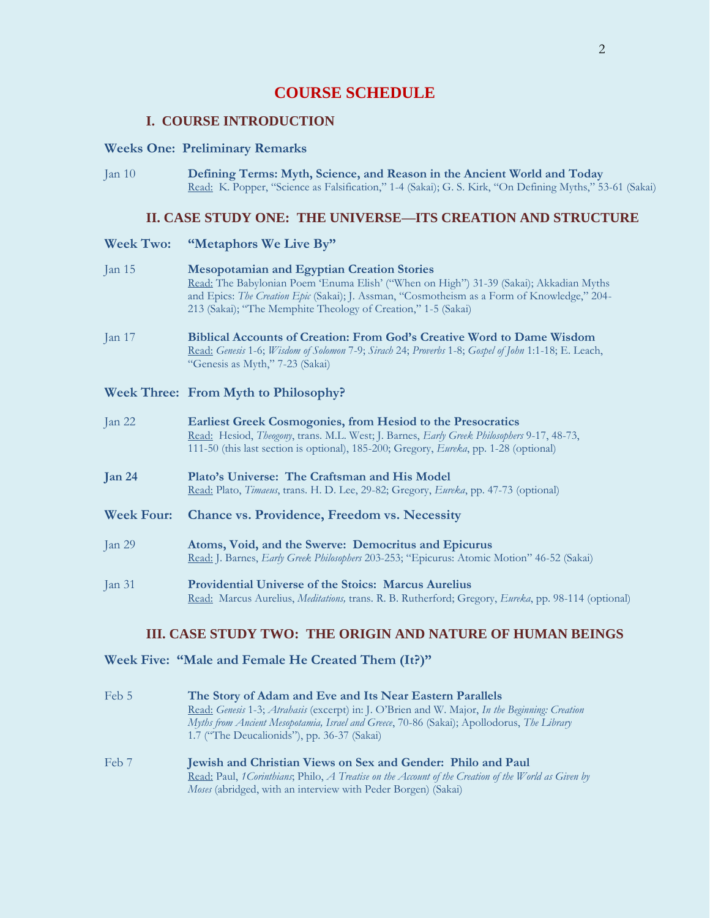# **COURSE SCHEDULE**

# **I. COURSE INTRODUCTION**

#### **Weeks One: Preliminary Remarks**

Jan 10 **Defining Terms: Myth, Science, and Reason in the Ancient World and Today** Read: K. Popper, "Science as Falsification," 1-4 (Sakai); G. S. Kirk, "On Defining Myths," 53-61 (Sakai)

### **II. CASE STUDY ONE: THE UNIVERSE—ITS CREATION AND STRUCTURE**

#### **Week Two: "Metaphors We Live By"**

- Jan 15 **Mesopotamian and Egyptian Creation Stories** Read: The Babylonian Poem 'Enuma Elish' ("When on High") 31-39 (Sakai); Akkadian Myths and Epics: *The Creation Epic* (Sakai); J. Assman, "Cosmotheism as a Form of Knowledge," 204- 213 (Sakai); "The Memphite Theology of Creation," 1-5 (Sakai)
- Jan 17 **Biblical Accounts of Creation: From God's Creative Word to Dame Wisdom** Read: *Genesis* 1-6; *Wisdom of Solomon* 7-9; *Sirach* 24; *Proverbs* 1-8; *Gospel of John* 1:1-18; E. Leach, "Genesis as Myth," 7-23 (Sakai)

### **Week Three: From Myth to Philosophy?**

| Jan $22$          | <b>Earliest Greek Cosmogonies, from Hesiod to the Presocratics</b><br>Read: Hesiod, Theogony, trans. M.L. West; J. Barnes, Early Greek Philosophers 9-17, 48-73,<br>111-50 (this last section is optional), 185-200; Gregory, Eureka, pp. 1-28 (optional) |  |
|-------------------|-----------------------------------------------------------------------------------------------------------------------------------------------------------------------------------------------------------------------------------------------------------|--|
| Jan 24            | Plato's Universe: The Craftsman and His Model<br>Read: Plato, <i>Timaeus</i> , trans. H. D. Lee, 29-82; Gregory, <i>Eureka</i> , pp. 47-73 (optional)                                                                                                     |  |
| <b>Week Four:</b> | <b>Chance vs. Providence, Freedom vs. Necessity</b>                                                                                                                                                                                                       |  |
| Jan $29$          | Atoms, Void, and the Swerve: Democritus and Epicurus<br>Read: J. Barnes, Early Greek Philosophers 203-253; "Epicurus: Atomic Motion" 46-52 (Sakai)                                                                                                        |  |
| Jan $31$          | <b>Providential Universe of the Stoics: Marcus Aurelius</b><br>Read: Marcus Aurelius, <i>Meditations</i> , trans. R. B. Rutherford; Gregory, <i>Eureka</i> , pp. 98-114 (optional)                                                                        |  |

### **III. CASE STUDY TWO: THE ORIGIN AND NATURE OF HUMAN BEINGS**

### **Week Five: "Male and Female He Created Them (It?)"**

- Feb 5 **The Story of Adam and Eve and Its Near Eastern Parallels** Read: *Genesis* 1-3; *Atrahasis* (excerpt) in: J. O'Brien and W. Major, *In the Beginning: Creation Myths from Ancient Mesopotamia, Israel and Greece*, 70-86 (Sakai); Apollodorus, *The Library* 1.7 ("The Deucalionids"), pp. 36-37 (Sakai) Feb 7 **Jewish and Christian Views on Sex and Gender: Philo and Paul**
	- Read: Paul, *1Corinthians*; Philo, *A Treatise on the Account of the Creation of the World as Given by Moses* (abridged, with an interview with Peder Borgen) (Sakai)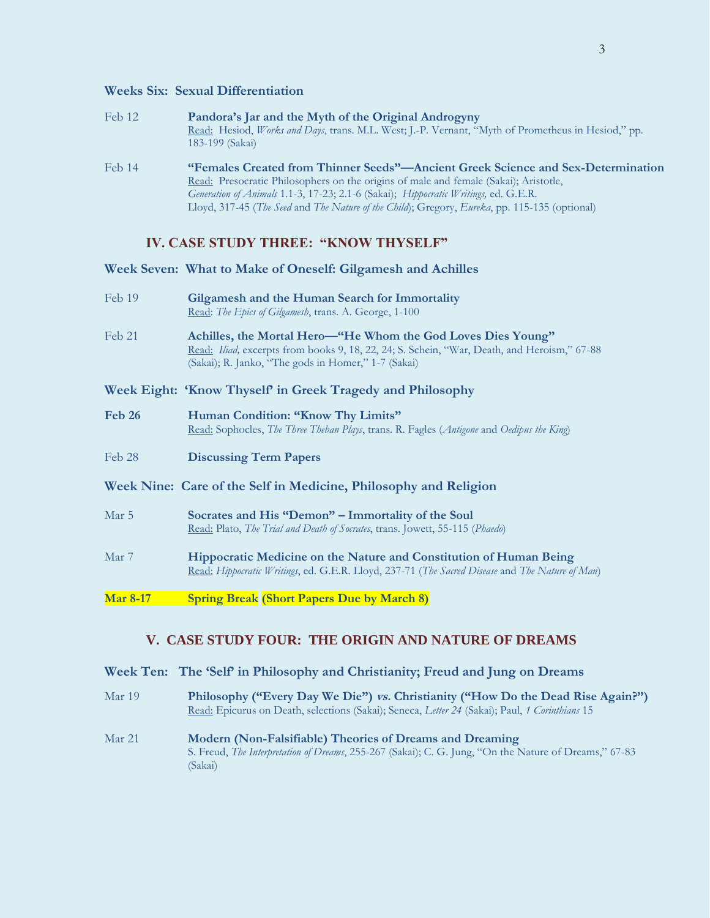### **Weeks Six: Sexual Differentiation**

| Feb 12 | Pandora's Jar and the Myth of the Original Androgyny<br>Read: Hesiod, Works and Days, trans. M.L. West; J.-P. Vernant, "Myth of Prometheus in Hesiod," pp.<br>183-199 (Sakai) |
|--------|-------------------------------------------------------------------------------------------------------------------------------------------------------------------------------|
| Feb 14 | "Females Created from Thinner Seeds"—Ancient Greek Science and Sex-Determination                                                                                              |
|        | Read: Presocratic Philosophers on the origins of male and female (Sakai); Aristotle,                                                                                          |
|        | Generation of Animals 1.1-3, 17-23; 2.1-6 (Sakai); Hippocratic Writings, ed. G.E.R.                                                                                           |
|        | Lloyd, 317-45 (The Seed and The Nature of the Child); Gregory, Eureka, pp. 115-135 (optional)                                                                                 |

### **IV. CASE STUDY THREE: "KNOW THYSELF"**

**Week Seven: What to Make of Oneself: Gilgamesh and Achilles**

| Feb 19 | Gilgamesh and the Human Search for Immortality        |
|--------|-------------------------------------------------------|
|        | Read: The Epics of Gilgamesh, trans. A. George, 1-100 |

- Feb 21 **Achilles, the Mortal Hero—"He Whom the God Loves Dies Young"** Read: *Iliad,* excerpts from books 9, 18, 22, 24; S. Schein, "War, Death, and Heroism," 67-88 (Sakai); R. Janko, "The gods in Homer," 1-7 (Sakai)
- **Week Eight: 'Know Thyself' in Greek Tragedy and Philosophy**
- **Feb 26 Human Condition: "Know Thy Limits"**  Read: Sophocles, *The Three Theban Plays*, trans. R. Fagles (*Antigone* and *Oedipus the King*)
- Feb 28 **Discussing Term Papers**
- **Week Nine: Care of the Self in Medicine, Philosophy and Religion**
- Mar 5 **Socrates and His "Demon" – Immortality of the Soul** Read: Plato, *The Trial and Death of Socrates*, trans. Jowett, 55-115 (*Phaedo*)
- Mar 7 **Hippocratic Medicine on the Nature and Constitution of Human Being** Read: *Hippocratic Writings*, ed. G.E.R. Lloyd, 237-71 (*The Sacred Disease* and *The Nature of Man*)
- **Mar 8-17 Spring Break (Short Papers Due by March 8)**

## **V. CASE STUDY FOUR: THE ORIGIN AND NATURE OF DREAMS**

- **Week Ten: The 'Self' in Philosophy and Christianity; Freud and Jung on Dreams**
- Mar 19 **Philosophy ("Every Day We Die") vs. Christianity ("How Do the Dead Rise Again?")** Read: Epicurus on Death, selections (Sakai); Seneca, *Letter 24* (Sakai); Paul, *1 Corinthians* 15
- Mar 21 **Modern (Non-Falsifiable) Theories of Dreams and Dreaming** S. Freud, *The Interpretation of Dreams*, 255-267 (Sakai); C. G. Jung, "On the Nature of Dreams," 67-83 (Sakai)